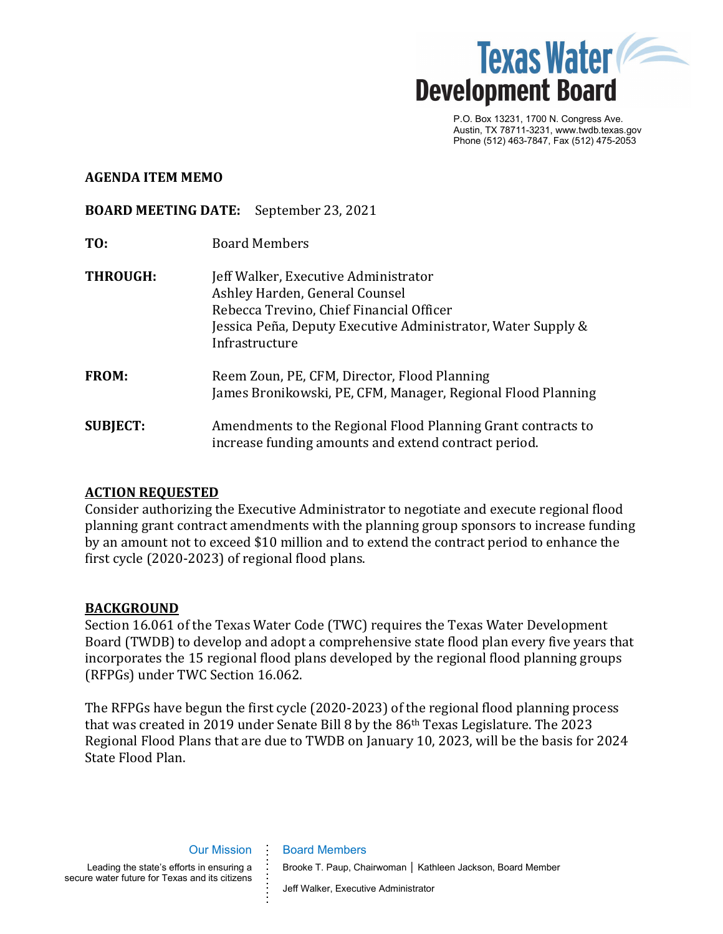

P.O. Box 13231, 1700 N. Congress Ave. Austin, TX 78711-3231, www.twdb.texas.gov Phone (512) 463-7847, Fax (512) 475-2053

#### **AGENDA ITEM MEMO**

#### **BOARD MEETING DATE:** September 23, 2021

- **TO:** Board Members
- **THROUGH:** Jeff Walker, Executive Administrator Ashley Harden, General Counsel Rebecca Trevino, Chief Financial Officer Jessica Peña, Deputy Executive Administrator, Water Supply & Infrastructure **FROM:** Reem Zoun, PE, CFM, Director, Flood Planning James Bronikowski, PE, CFM, Manager, Regional Flood Planning **SUBJECT:** Amendments to the Regional Flood Planning Grant contracts to

# **ACTION REQUESTED**

Consider authorizing the Executive Administrator to negotiate and execute regional flood planning grant contract amendments with the planning group sponsors to increase funding by an amount not to exceed \$10 million and to extend the contract period to enhance the first cycle (2020-2023) of regional flood plans.

increase funding amounts and extend contract period.

### **BACKGROUND**

Section 16.061 of the Texas Water Code (TWC) requires the Texas Water Development Board (TWDB) to develop and adopt a comprehensive state flood plan every five years that incorporates the 15 regional flood plans developed by the regional flood planning groups (RFPGs) under TWC Section 16.062.

The RFPGs have begun the first cycle (2020-2023) of the regional flood planning process that was created in 2019 under Senate Bill 8 by the 86th Texas Legislature. The 2023 Regional Flood Plans that are due to TWDB on January 10, 2023, will be the basis for 2024 State Flood Plan.

**.**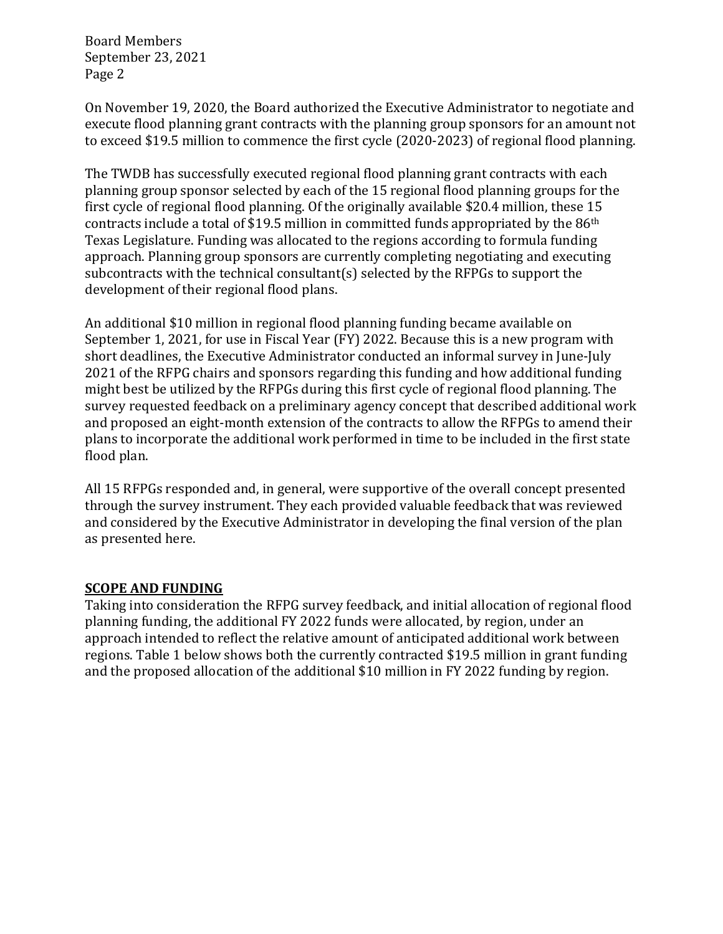Board Members September 23, 2021 Page 2

On November 19, 2020, the Board authorized the Executive Administrator to negotiate and execute flood planning grant contracts with the planning group sponsors for an amount not to exceed \$19.5 million to commence the first cycle (2020-2023) of regional flood planning.

The TWDB has successfully executed regional flood planning grant contracts with each planning group sponsor selected by each of the 15 regional flood planning groups for the first cycle of regional flood planning. Of the originally available \$20.4 million, these 15 contracts include a total of \$19.5 million in committed funds appropriated by the 86th Texas Legislature. Funding was allocated to the regions according to formula funding approach. Planning group sponsors are currently completing negotiating and executing subcontracts with the technical consultant(s) selected by the RFPGs to support the development of their regional flood plans.

An additional \$10 million in regional flood planning funding became available on September 1, 2021, for use in Fiscal Year (FY) 2022. Because this is a new program with short deadlines, the Executive Administrator conducted an informal survey in June-July 2021 of the RFPG chairs and sponsors regarding this funding and how additional funding might best be utilized by the RFPGs during this first cycle of regional flood planning. The survey requested feedback on a preliminary agency concept that described additional work and proposed an eight-month extension of the contracts to allow the RFPGs to amend their plans to incorporate the additional work performed in time to be included in the first state flood plan.

All 15 RFPGs responded and, in general, were supportive of the overall concept presented through the survey instrument. They each provided valuable feedback that was reviewed and considered by the Executive Administrator in developing the final version of the plan as presented here.

# **SCOPE AND FUNDING**

Taking into consideration the RFPG survey feedback, and initial allocation of regional flood planning funding, the additional FY 2022 funds were allocated, by region, under an approach intended to reflect the relative amount of anticipated additional work between regions. Table 1 below shows both the currently contracted \$19.5 million in grant funding and the proposed allocation of the additional \$10 million in FY 2022 funding by region.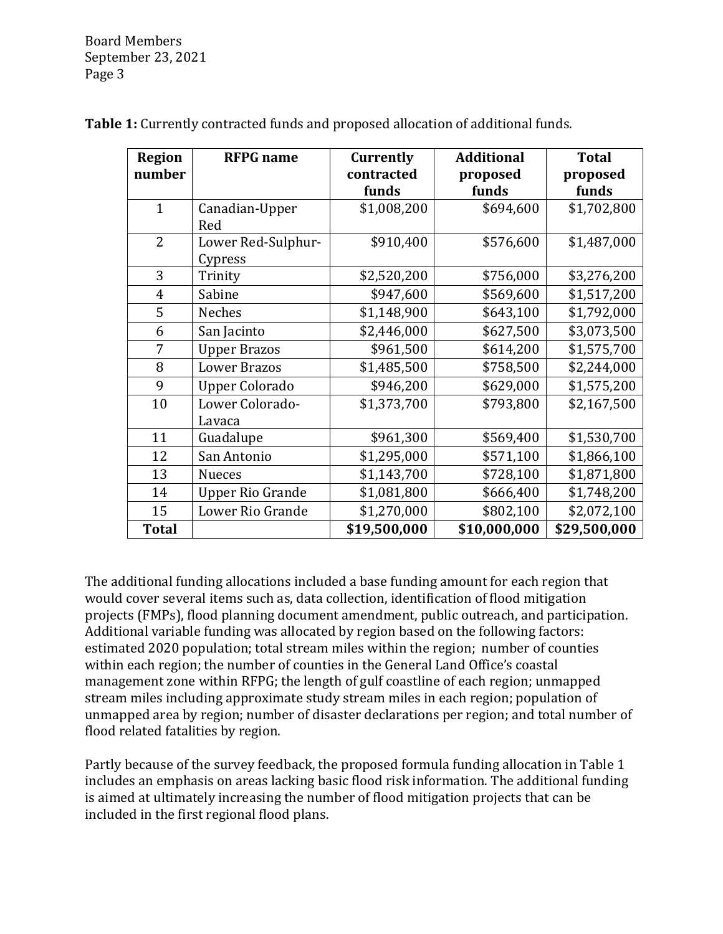Board Members September 23, 2021 Page 3

| <b>Region</b><br>number | <b>RFPG</b> name              | Currently<br>contracted<br>funds | <b>Additional</b><br>proposed<br>funds | <b>Total</b><br>proposed<br>funds |
|-------------------------|-------------------------------|----------------------------------|----------------------------------------|-----------------------------------|
| $\mathbf{1}$            | Canadian-Upper<br>Red         | \$1,008,200                      | \$694,600                              | \$1,702,800                       |
| $\overline{2}$          | Lower Red-Sulphur-<br>Cypress | \$910,400                        | \$576,600                              | \$1,487,000                       |
| 3                       | Trinity                       | \$2,520,200                      | \$756,000                              | \$3,276,200                       |
| $\overline{4}$          | Sabine                        | \$947,600                        | \$569,600                              | \$1,517,200                       |
| 5                       | <b>Neches</b>                 | \$1,148,900                      | \$643,100                              | \$1,792,000                       |
| 6                       | San Jacinto                   | \$2,446,000                      | \$627,500                              | \$3,073,500                       |
| 7                       | <b>Upper Brazos</b>           | \$961,500                        | \$614,200                              | \$1,575,700                       |
| 8                       | <b>Lower Brazos</b>           | \$1,485,500                      | \$758,500                              | \$2,244,000                       |
| 9                       | <b>Upper Colorado</b>         | \$946,200                        | \$629,000                              | \$1,575,200                       |
| 10                      | Lower Colorado-               | \$1,373,700                      | \$793,800                              | \$2,167,500                       |
|                         | Lavaca                        |                                  |                                        |                                   |
| 11                      | Guadalupe                     | \$961,300                        | \$569,400                              | \$1,530,700                       |
| 12                      | San Antonio                   | \$1,295,000                      | \$571,100                              | \$1,866,100                       |
| 13                      | <b>Nueces</b>                 | \$1,143,700                      | \$728,100                              | \$1,871,800                       |
| 14                      | <b>Upper Rio Grande</b>       | \$1,081,800                      | \$666,400                              | \$1,748,200                       |
| 15                      | Lower Rio Grande              | \$1,270,000                      | \$802,100                              | \$2,072,100                       |
| <b>Total</b>            |                               | \$19,500,000                     | \$10,000,000                           | \$29,500,000                      |

**Table 1:** Currently contracted funds and proposed allocation of additional funds.

The additional funding allocations included a base funding amount for each region that would cover several items such as, data collection, identification of flood mitigation projects (FMPs), flood planning document amendment, public outreach, and participation. Additional variable funding was allocated by region based on the following factors: estimated 2020 population; total stream miles within the region; number of counties within each region; the number of counties in the General Land Office's coastal management zone within RFPG; the length of gulf coastline of each region; unmapped stream miles including approximate study stream miles in each region; population of unmapped area by region; number of disaster declarations per region; and total number of flood related fatalities by region.

Partly because of the survey feedback, the proposed formula funding allocation in Table 1 includes an emphasis on areas lacking basic flood risk information. The additional funding is aimed at ultimately increasing the number of flood mitigation projects that can be included in the first regional flood plans.